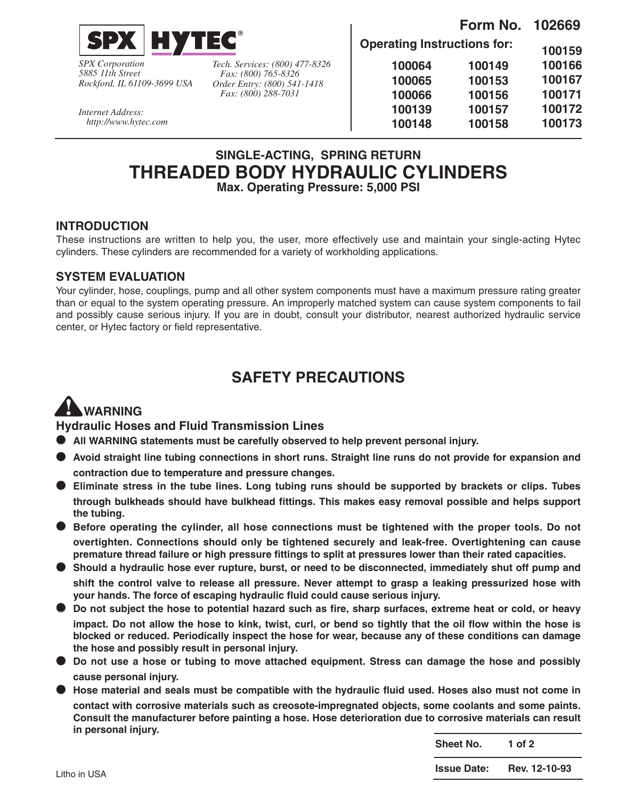

*SPX Corporation 5885 11th Street Rockford, IL 61109-3699 USA*

*Internet Address: http://www.hytec.com* *Tech. Services: (800) 477-8326 Fax: (800) 765-8326 Order Entry: (800) 541-1418 Fax: (800) 288-7031*

**Form No. 102669 Operating Instructions for: 100159 100166 100167 100171 100172 100173 100149 100153 100156 100157 100158 100064 100065 100066 100139 100148**

### **SINGLE-ACTING, SPRING RETURN THREADED BODY HYDRAULIC CYLINDERS Max. Operating Pressure: 5,000 PSI**

#### **INTRODUCTION**

These instructions are written to help you, the user, more effectively use and maintain your single-acting Hytec cylinders. These cylinders are recommended for a variety of workholding applications.

#### **SYSTEM EVALUATION**

Your cylinder, hose, couplings, pump and all other system components must have a maximum pressure rating greater than or equal to the system operating pressure. An improperly matched system can cause system components to fail and possibly cause serious injury. If you are in doubt, consult your distributor, nearest authorized hydraulic service center, or Hytec factory or field representative.

## **SAFETY PRECAUTIONS**

# **WARNING**

**Hydraulic Hoses and Fluid Transmission Lines**

- **All WARNING statements must be carefully observed to help prevent personal injury.**
- **Avoid straight line tubing connections in short runs. Straight line runs do not provide for expansion and contraction due to temperature and pressure changes.**
- **Eliminate stress in the tube lines. Long tubing runs should be supported by brackets or clips. Tubes through bulkheads should have bulkhead fittings. This makes easy removal possible and helps support the tubing.**
- **Before operating the cylinder, all hose connections must be tightened with the proper tools. Do not overtighten. Connections should only be tightened securely and leak-free. Overtightening can cause premature thread failure or high pressure fittings to split at pressures lower than their rated capacities.**
- **Should a hydraulic hose ever rupture, burst, or need to be disconnected, immediately shut off pump and shift the control valve to release all pressure. Never attempt to grasp a leaking pressurized hose with your hands. The force of escaping hydraulic fluid could cause serious injury.**
- **Do not subject the hose to potential hazard such as fire, sharp surfaces, extreme heat or cold, or heavy impact. Do not allow the hose to kink, twist, curl, or bend so tightly that the oil flow within the hose is blocked or reduced. Periodically inspect the hose for wear, because any of these conditions can damage the hose and possibly result in personal injury.**
- **Do not use a hose or tubing to move attached equipment. Stress can damage the hose and possibly cause personal injury.**
- **Hose material and seals must be compatible with the hydraulic fluid used. Hoses also must not come in contact with corrosive materials such as creosote-impregnated objects, some coolants and some paints. Consult the manufacturer before painting a hose. Hose deterioration due to corrosive materials can result in personal injury.**

**Sheet No. 1 of 2**

**Issue Date: Rev. 12-10-93**

Litho in USA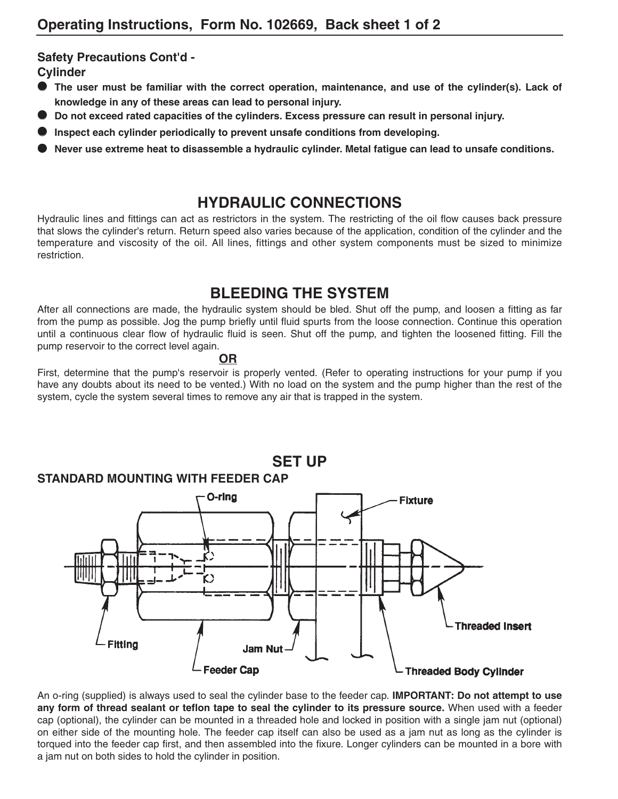### **Safety Precautions Cont'd -**

**Cylinder**

- **The user must be familiar with the correct operation, maintenance, and use of the cylinder(s). Lack of knowledge in any of these areas can lead to personal injury.**
- **Do not exceed rated capacities of the cylinders. Excess pressure can result in personal injury.**
- **Inspect each cylinder periodically to prevent unsafe conditions from developing.**
- **Never use extreme heat to disassemble a hydraulic cylinder. Metal fatigue can lead to unsafe conditions.**

### **HYDRAULIC CONNECTIONS**

Hydraulic lines and fittings can act as restrictors in the system. The restricting of the oil flow causes back pressure that slows the cylinder's return. Return speed also varies because of the application, condition of the cylinder and the temperature and viscosity of the oil. All lines, fittings and other system components must be sized to minimize restriction.

### **BLEEDING THE SYSTEM**

After all connections are made, the hydraulic system should be bled. Shut off the pump, and loosen a fitting as far from the pump as possible. Jog the pump briefly until fluid spurts from the loose connection. Continue this operation until a continuous clear flow of hydraulic fluid is seen. Shut off the pump, and tighten the loosened fitting. Fill the pump reservoir to the correct level again.

#### **OR**

First, determine that the pump's reservoir is properly vented. (Refer to operating instructions for your pump if you have any doubts about its need to be vented.) With no load on the system and the pump higher than the rest of the system, cycle the system several times to remove any air that is trapped in the system.



An o-ring (supplied) is always used to seal the cylinder base to the feeder cap. **IMPORTANT: Do not attempt to use any form of thread sealant or teflon tape to seal the cylinder to its pressure source.** When used with a feeder cap (optional), the cylinder can be mounted in a threaded hole and locked in position with a single jam nut (optional) on either side of the mounting hole. The feeder cap itself can also be used as a jam nut as long as the cylinder is torqued into the feeder cap first, and then assembled into the fixure. Longer cylinders can be mounted in a bore with a jam nut on both sides to hold the cylinder in position.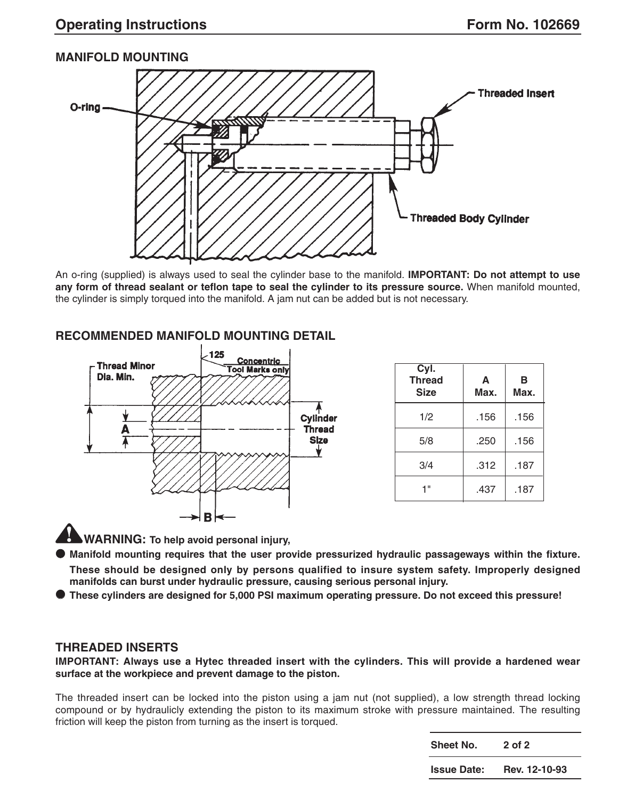### **MANIFOLD MOUNTING**



An o-ring (supplied) is always used to seal the cylinder base to the manifold. **IMPORTANT: Do not attempt to use any form of thread sealant or teflon tape to seal the cylinder to its pressure source.** When manifold mounted, the cylinder is simply torqued into the manifold. A jam nut can be added but is not necessary.

### **RECOMMENDED MANIFOLD MOUNTING DETAIL**



| Cyl.<br><b>Thread</b><br><b>Size</b> | A<br>Max. | в<br>Max. |
|--------------------------------------|-----------|-----------|
| 1/2                                  | .156      | .156      |
| 5/8                                  | .250      | .156      |
| 3/4                                  | .312      | .187      |
| 4 "                                  | .437      | .187      |

**WARNING: To help avoid personal injury,**

● **Manifold mounting requires that the user provide pressurized hydraulic passageways within the fixture.**

**These should be designed only by persons qualified to insure system safety. Improperly designed manifolds can burst under hydraulic pressure, causing serious personal injury.**

● **These cylinders are designed for 5,000 PSI maximum operating pressure. Do not exceed this pressure!**

#### **THREADED INSERTS**

**IMPORTANT: Always use a Hytec threaded insert with the cylinders. This will provide a hardened wear surface at the workpiece and prevent damage to the piston.** 

The threaded insert can be locked into the piston using a jam nut (not supplied), a low strength thread locking compound or by hydraulicly extending the piston to its maximum stroke with pressure maintained. The resulting friction will keep the piston from turning as the insert is torqued.

> **Sheet No. 2 of 2 Issue Date: Rev. 12-10-93**